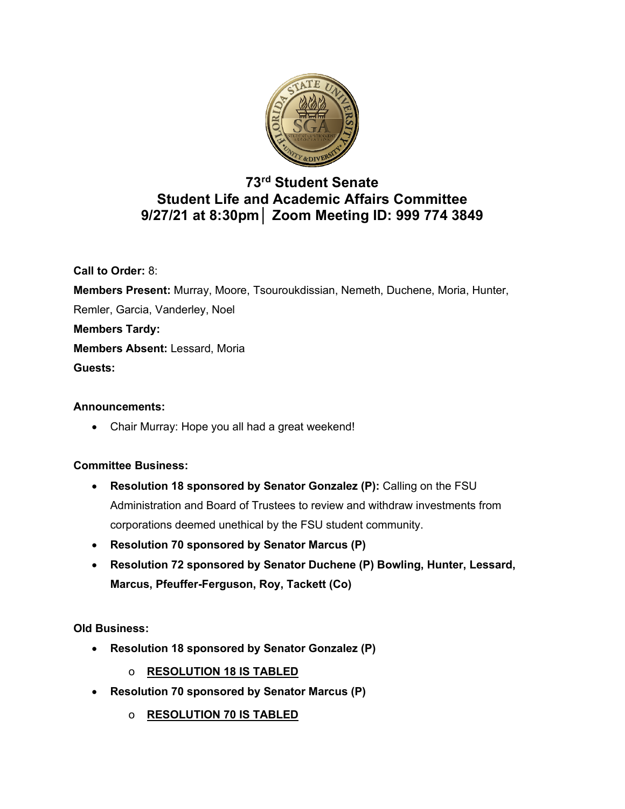

# **73rd Student Senate Student Life and Academic Affairs Committee 9/27/21 at 8:30pm│ Zoom Meeting ID: 999 774 3849**

**Call to Order:** 8: **Members Present:** Murray, Moore, Tsouroukdissian, Nemeth, Duchene, Moria, Hunter, Remler, Garcia, Vanderley, Noel **Members Tardy: Members Absent:** Lessard, Moria **Guests:**

## **Announcements:**

• Chair Murray: Hope you all had a great weekend!

## **Committee Business:**

- **Resolution 18 sponsored by Senator Gonzalez (P):** Calling on the FSU Administration and Board of Trustees to review and withdraw investments from corporations deemed unethical by the FSU student community.
- **Resolution 70 sponsored by Senator Marcus (P)**
- **Resolution 72 sponsored by Senator Duchene (P) Bowling, Hunter, Lessard, Marcus, Pfeuffer-Ferguson, Roy, Tackett (Co)**

## **Old Business:**

- **Resolution 18 sponsored by Senator Gonzalez (P)**
	- o **RESOLUTION 18 IS TABLED**
- **Resolution 70 sponsored by Senator Marcus (P)**
	- o **RESOLUTION 70 IS TABLED**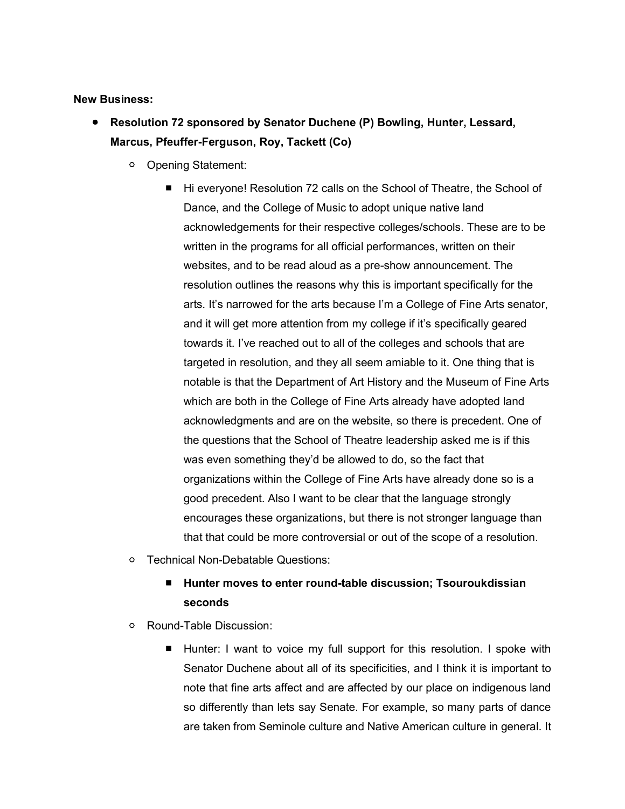#### **New Business:**

- **Resolution 72 sponsored by Senator Duchene (P) Bowling, Hunter, Lessard, Marcus, Pfeuffer-Ferguson, Roy, Tackett (Co)**
	- Opening Statement:
		- Hi everyone! Resolution 72 calls on the School of Theatre, the School of Dance, and the College of Music to adopt unique native land acknowledgements for their respective colleges/schools. These are to be written in the programs for all official performances, written on their websites, and to be read aloud as a pre-show announcement. The resolution outlines the reasons why this is important specifically for the arts. It's narrowed for the arts because I'm a College of Fine Arts senator, and it will get more attention from my college if it's specifically geared towards it. I've reached out to all of the colleges and schools that are targeted in resolution, and they all seem amiable to it. One thing that is notable is that the Department of Art History and the Museum of Fine Arts which are both in the College of Fine Arts already have adopted land acknowledgments and are on the website, so there is precedent. One of the questions that the School of Theatre leadership asked me is if this was even something they'd be allowed to do, so the fact that organizations within the College of Fine Arts have already done so is a good precedent. Also I want to be clear that the language strongly encourages these organizations, but there is not stronger language than that that could be more controversial or out of the scope of a resolution.
	- Technical Non-Debatable Questions:

## ■ **Hunter moves to enter round-table discussion; Tsouroukdissian seconds**

- Round-Table Discussion:
	- Hunter: I want to voice my full support for this resolution. I spoke with Senator Duchene about all of its specificities, and I think it is important to note that fine arts affect and are affected by our place on indigenous land so differently than lets say Senate. For example, so many parts of dance are taken from Seminole culture and Native American culture in general. It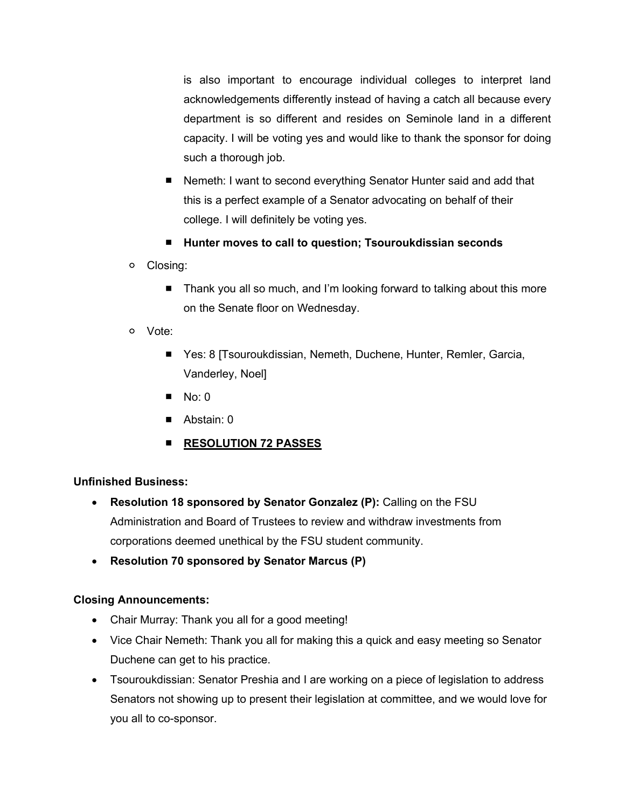is also important to encourage individual colleges to interpret land acknowledgements differently instead of having a catch all because every department is so different and resides on Seminole land in a different capacity. I will be voting yes and would like to thank the sponsor for doing such a thorough job.

- Nemeth: I want to second everything Senator Hunter said and add that this is a perfect example of a Senator advocating on behalf of their college. I will definitely be voting yes.
- **Hunter moves to call to question; Tsouroukdissian seconds**
- Closing:
	- Thank you all so much, and I'm looking forward to talking about this more on the Senate floor on Wednesday.
- Vote:
	- Yes: 8 [Tsouroukdissian, Nemeth, Duchene, Hunter, Remler, Garcia, Vanderley, Noel]
	- $\blacksquare$  No: 0
	- Abstain: 0
	- **RESOLUTION 72 PASSES**

## **Unfinished Business:**

- **Resolution 18 sponsored by Senator Gonzalez (P):** Calling on the FSU Administration and Board of Trustees to review and withdraw investments from corporations deemed unethical by the FSU student community.
- **Resolution 70 sponsored by Senator Marcus (P)**

## **Closing Announcements:**

- Chair Murray: Thank you all for a good meeting!
- Vice Chair Nemeth: Thank you all for making this a quick and easy meeting so Senator Duchene can get to his practice.
- Tsouroukdissian: Senator Preshia and I are working on a piece of legislation to address Senators not showing up to present their legislation at committee, and we would love for you all to co-sponsor.